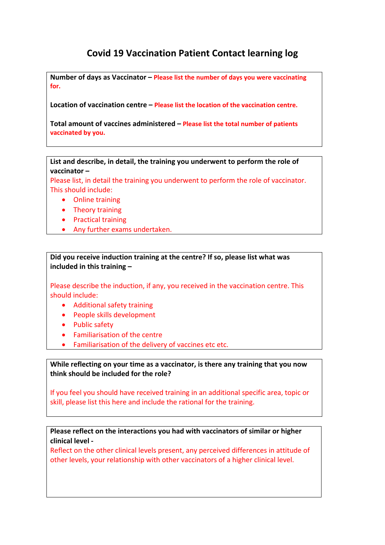## **Covid 19 Vaccination Patient Contact learning log**

**Number of days as Vaccinator – Please list the number of days you were vaccinating for.**

**Location of vaccination centre – Please list the location of the vaccination centre.**

**Total amount of vaccines administered – Please list the total number of patients vaccinated by you.**

**List and describe, in detail, the training you underwent to perform the role of vaccinator –** 

Please list, in detail the training you underwent to perform the role of vaccinator. This should include:

- Online training
- Theory training
- Practical training
- Any further exams undertaken.

**Did you receive induction training at the centre? If so, please list what was included in this training –** 

Please describe the induction, if any, you received in the vaccination centre. This should include:

- Additional safety training
- People skills development
- Public safety
- Familiarisation of the centre
- Familiarisation of the delivery of vaccines etc etc.

**While reflecting on your time as a vaccinator, is there any training that you now think should be included for the role?**

If you feel you should have received training in an additional specific area, topic or skill, please list this here and include the rational for the training.

**Please reflect on the interactions you had with vaccinators of similar or higher clinical level ‐** 

Reflect on the other clinical levels present, any perceived differences in attitude of other levels, your relationship with other vaccinators of a higher clinical level.